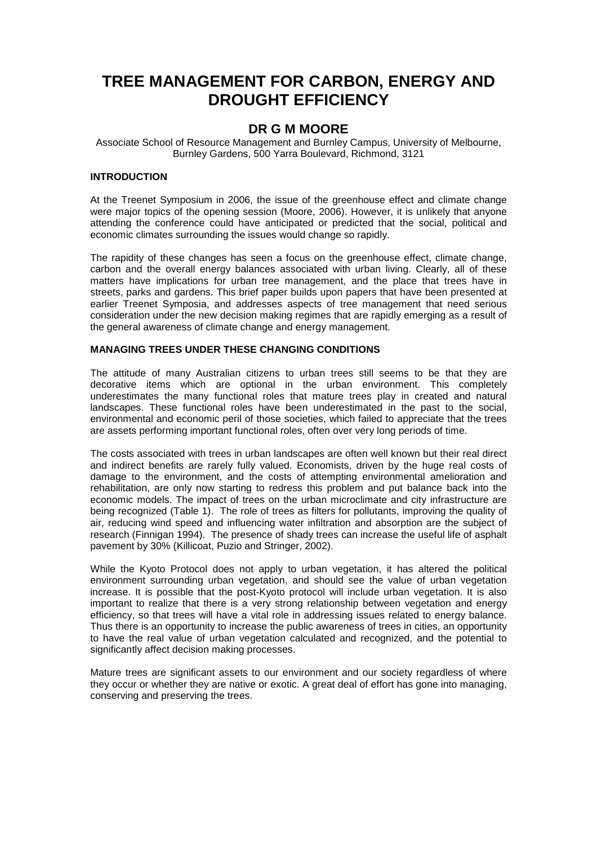# **TREE MANAGEMENT FOR CARBON, ENERGY AND DROUGHT EFFICIENCY**

# **DR G M MOORE**

Associate School of Resource Management and Burnley Campus, University of Melbourne, Burnley Gardens, 500 Yarra Boulevard, Richmond, 3121

## **INTRODUCTION**

At the Treenet Symposium in 2006, the issue of the greenhouse effect and climate change were major topics of the opening session (Moore, 2006). However, it is unlikely that anyone attending the conference could have anticipated or predicted that the social, political and economic climates surrounding the issues would change so rapidly.

The rapidity of these changes has seen a focus on the greenhouse effect, climate change, carbon and the overall energy balances associated with urban living. Clearly, all of these matters have implications for urban tree management, and the place that trees have in streets, parks and gardens. This brief paper builds upon papers that have been presented at earlier Treenet Symposia, and addresses aspects of tree management that need serious consideration under the new decision making regimes that are rapidly emerging as a result of the general awareness of climate change and energy management.

### **MANAGING TREES UNDER THESE CHANGING CONDITIONS**

The attitude of many Australian citizens to urban trees still seems to be that they are decorative items which are optional in the urban environment. This completely underestimates the many functional roles that mature trees play in created and natural landscapes. These functional roles have been underestimated in the past to the social, environmental and economic peril of those societies, which failed to appreciate that the trees are assets performing important functional roles, often over very long periods of time.

The costs associated with trees in urban landscapes are often well known but their real direct and indirect benefits are rarely fully valued. Economists, driven by the huge real costs of damage to the environment, and the costs of attempting environmental amelioration and rehabilitation, are only now starting to redress this problem and put balance back into the economic models. The impact of trees on the urban microclimate and city infrastructure are being recognized (Table 1). The role of trees as filters for pollutants, improving the quality of air, reducing wind speed and influencing water infiltration and absorption are the subject of research (Finnigan 1994). The presence of shady trees can increase the useful life of asphalt pavement by 30% (Killicoat, Puzio and Stringer, 2002).

While the Kyoto Protocol does not apply to urban vegetation, it has altered the political environment surrounding urban vegetation, and should see the value of urban vegetation increase. It is possible that the post-Kyoto protocol will include urban vegetation. It is also important to realize that there is a very strong relationship between vegetation and energy efficiency, so that trees will have a vital role in addressing issues related to energy balance. Thus there is an opportunity to increase the public awareness of trees in cities, an opportunity to have the real value of urban vegetation calculated and recognized, and the potential to significantly affect decision making processes.

Mature trees are significant assets to our environment and our society regardless of where they occur or whether they are native or exotic. A great deal of effort has gone into managing, conserving and preserving the trees.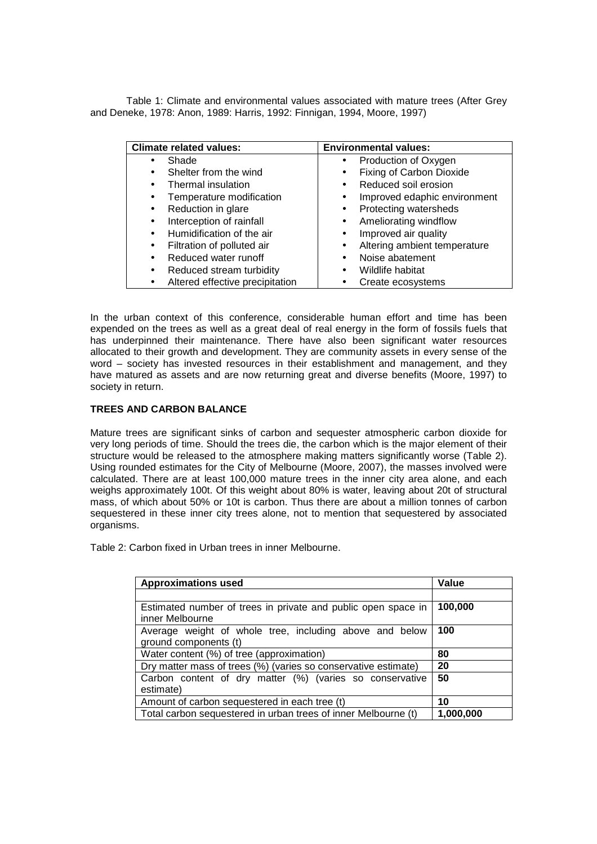Table 1: Climate and environmental values associated with mature trees (After Grey and Deneke, 1978: Anon, 1989: Harris, 1992: Finnigan, 1994, Moore, 1997)

| <b>Climate related values:</b>               | <b>Environmental values:</b>       |  |
|----------------------------------------------|------------------------------------|--|
| Shade<br>$\bullet$                           | Production of Oxygen               |  |
| Shelter from the wind<br>$\bullet$           | <b>Fixing of Carbon Dioxide</b>    |  |
| Thermal insulation<br>$\bullet$              | Reduced soil erosion               |  |
| Temperature modification<br>$\bullet$        | Improved edaphic environment<br>٠  |  |
| Reduction in glare<br>$\bullet$              | Protecting watersheds<br>٠         |  |
| Interception of rainfall<br>$\bullet$        | Ameliorating windflow<br>$\bullet$ |  |
| Humidification of the air<br>$\bullet$       | Improved air quality               |  |
| Filtration of polluted air<br>$\bullet$      | Altering ambient temperature       |  |
| Reduced water runoff<br>$\bullet$            | Noise abatement                    |  |
| Reduced stream turbidity<br>$\bullet$        | Wildlife habitat                   |  |
| Altered effective precipitation<br>$\bullet$ | Create ecosystems                  |  |

In the urban context of this conference, considerable human effort and time has been expended on the trees as well as a great deal of real energy in the form of fossils fuels that has underpinned their maintenance. There have also been significant water resources allocated to their growth and development. They are community assets in every sense of the word – society has invested resources in their establishment and management, and they have matured as assets and are now returning great and diverse benefits (Moore, 1997) to society in return.

# **TREES AND CARBON BALANCE**

Mature trees are significant sinks of carbon and sequester atmospheric carbon dioxide for very long periods of time. Should the trees die, the carbon which is the major element of their structure would be released to the atmosphere making matters significantly worse (Table 2). Using rounded estimates for the City of Melbourne (Moore, 2007), the masses involved were calculated. There are at least 100,000 mature trees in the inner city area alone, and each weighs approximately 100t. Of this weight about 80% is water, leaving about 20t of structural mass, of which about 50% or 10t is carbon. Thus there are about a million tonnes of carbon sequestered in these inner city trees alone, not to mention that sequestered by associated organisms.

Table 2: Carbon fixed in Urban trees in inner Melbourne.

| <b>Approximations used</b>                                                       | Value     |
|----------------------------------------------------------------------------------|-----------|
| Estimated number of trees in private and public open space in                    | 100,000   |
| inner Melbourne                                                                  |           |
| Average weight of whole tree, including above and below<br>ground components (t) | 100       |
| Water content (%) of tree (approximation)                                        | 80        |
| Dry matter mass of trees (%) (varies so conservative estimate)                   | 20        |
| Carbon content of dry matter (%) (varies so conservative<br>estimate)            | 50        |
| Amount of carbon sequestered in each tree (t)                                    | 10        |
| Total carbon sequestered in urban trees of inner Melbourne (t)                   | 1,000,000 |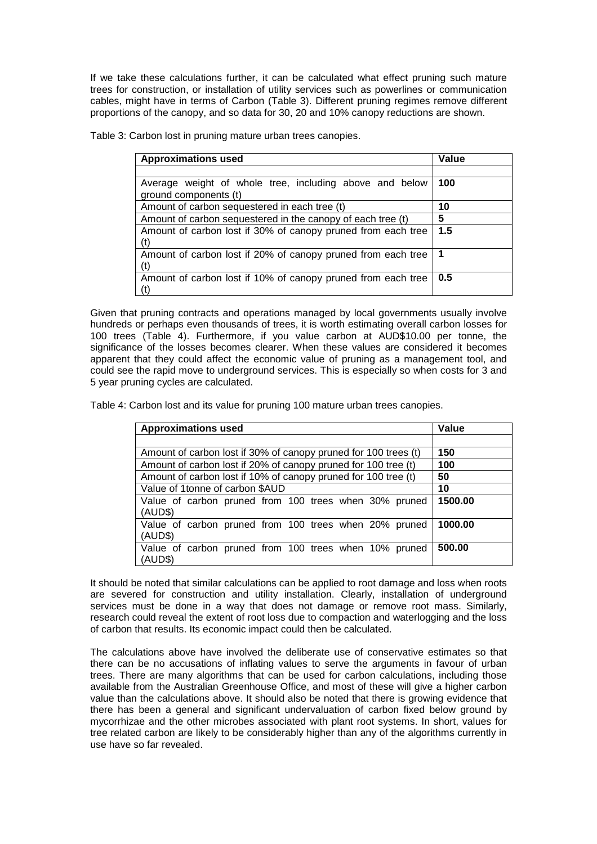If we take these calculations further, it can be calculated what effect pruning such mature trees for construction, or installation of utility services such as powerlines or communication cables, might have in terms of Carbon (Table 3). Different pruning regimes remove different proportions of the canopy, and so data for 30, 20 and 10% canopy reductions are shown.

Table 3: Carbon lost in pruning mature urban trees canopies.

| <b>Approximations used</b>                                   | <b>Value</b> |
|--------------------------------------------------------------|--------------|
|                                                              |              |
| Average weight of whole tree, including above and below      | 100          |
| ground components (t)                                        |              |
| Amount of carbon sequestered in each tree (t)                | 10           |
| Amount of carbon sequestered in the canopy of each tree (t)  | 5            |
| Amount of carbon lost if 30% of canopy pruned from each tree | 1.5          |
| (t)                                                          |              |
| Amount of carbon lost if 20% of canopy pruned from each tree | $\mathbf 1$  |
| (t)                                                          |              |
| Amount of carbon lost if 10% of canopy pruned from each tree | 0.5          |
|                                                              |              |

Given that pruning contracts and operations managed by local governments usually involve hundreds or perhaps even thousands of trees, it is worth estimating overall carbon losses for 100 trees (Table 4). Furthermore, if you value carbon at AUD\$10.00 per tonne, the significance of the losses becomes clearer. When these values are considered it becomes apparent that they could affect the economic value of pruning as a management tool, and could see the rapid move to underground services. This is especially so when costs for 3 and 5 year pruning cycles are calculated.

Table 4: Carbon lost and its value for pruning 100 mature urban trees canopies.

| <b>Approximations used</b>                                      | Value   |
|-----------------------------------------------------------------|---------|
|                                                                 |         |
| Amount of carbon lost if 30% of canopy pruned for 100 trees (t) | 150     |
| Amount of carbon lost if 20% of canopy pruned for 100 tree (t)  | 100     |
| Amount of carbon lost if 10% of canopy pruned for 100 tree (t)  | 50      |
| Value of 1tonne of carbon \$AUD                                 | 10      |
| Value of carbon pruned from 100 trees when 30% pruned           | 1500.00 |
| (AUD\$)                                                         |         |
| Value of carbon pruned from 100 trees when 20% pruned           | 1000.00 |
| (AUD\$)                                                         |         |
| Value of carbon pruned from 100 trees when 10% pruned           | 500.00  |
| (AUD\$)                                                         |         |

It should be noted that similar calculations can be applied to root damage and loss when roots are severed for construction and utility installation. Clearly, installation of underground services must be done in a way that does not damage or remove root mass. Similarly, research could reveal the extent of root loss due to compaction and waterlogging and the loss of carbon that results. Its economic impact could then be calculated.

The calculations above have involved the deliberate use of conservative estimates so that there can be no accusations of inflating values to serve the arguments in favour of urban trees. There are many algorithms that can be used for carbon calculations, including those available from the Australian Greenhouse Office, and most of these will give a higher carbon value than the calculations above. It should also be noted that there is growing evidence that there has been a general and significant undervaluation of carbon fixed below ground by mycorrhizae and the other microbes associated with plant root systems. In short, values for tree related carbon are likely to be considerably higher than any of the algorithms currently in use have so far revealed.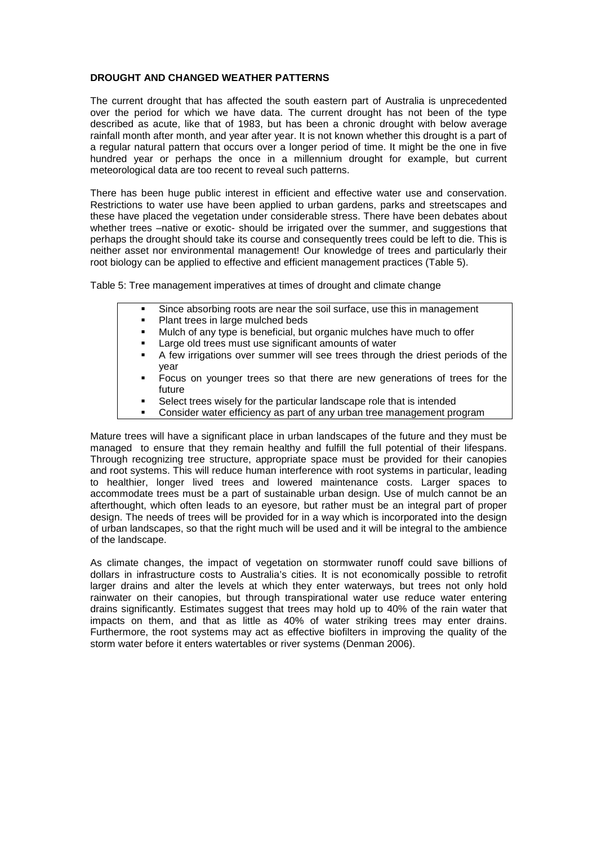## **DROUGHT AND CHANGED WEATHER PATTERNS**

The current drought that has affected the south eastern part of Australia is unprecedented over the period for which we have data. The current drought has not been of the type described as acute, like that of 1983, but has been a chronic drought with below average rainfall month after month, and year after year. It is not known whether this drought is a part of a regular natural pattern that occurs over a longer period of time. It might be the one in five hundred year or perhaps the once in a millennium drought for example, but current meteorological data are too recent to reveal such patterns.

There has been huge public interest in efficient and effective water use and conservation. Restrictions to water use have been applied to urban gardens, parks and streetscapes and these have placed the vegetation under considerable stress. There have been debates about whether trees –native or exotic- should be irrigated over the summer, and suggestions that perhaps the drought should take its course and consequently trees could be left to die. This is neither asset nor environmental management! Our knowledge of trees and particularly their root biology can be applied to effective and efficient management practices (Table 5).

Table 5: Tree management imperatives at times of drought and climate change

- Since absorbing roots are near the soil surface, use this in management
- Plant trees in large mulched beds
- Mulch of any type is beneficial, but organic mulches have much to offer
- Large old trees must use significant amounts of water
- A few irrigations over summer will see trees through the driest periods of the year
- Focus on younger trees so that there are new generations of trees for the future
- Select trees wisely for the particular landscape role that is intended
- Consider water efficiency as part of any urban tree management program

Mature trees will have a significant place in urban landscapes of the future and they must be managed to ensure that they remain healthy and fulfill the full potential of their lifespans. Through recognizing tree structure, appropriate space must be provided for their canopies and root systems. This will reduce human interference with root systems in particular, leading to healthier, longer lived trees and lowered maintenance costs. Larger spaces to accommodate trees must be a part of sustainable urban design. Use of mulch cannot be an afterthought, which often leads to an eyesore, but rather must be an integral part of proper design. The needs of trees will be provided for in a way which is incorporated into the design of urban landscapes, so that the right much will be used and it will be integral to the ambience of the landscape.

As climate changes, the impact of vegetation on stormwater runoff could save billions of dollars in infrastructure costs to Australia's cities. It is not economically possible to retrofit larger drains and alter the levels at which they enter waterways, but trees not only hold rainwater on their canopies, but through transpirational water use reduce water entering drains significantly. Estimates suggest that trees may hold up to 40% of the rain water that impacts on them, and that as little as 40% of water striking trees may enter drains. Furthermore, the root systems may act as effective biofilters in improving the quality of the storm water before it enters watertables or river systems (Denman 2006).